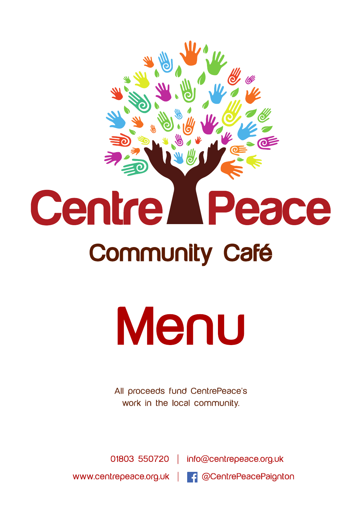# **Centre** Peace Community Café

# Menu

All proceeds fund CentrePeace's work in the local community.

01803 550720 | info@centrepeace.org.uk www.centrepeace.org.uk | 4 @CentrePeacePaignton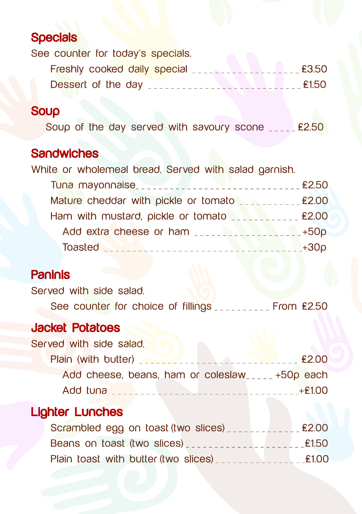## **Specials**

See counter for today's specials.

| Freshly cooked daily special <b>Expenditure 10</b> £3.50 |  |       |
|----------------------------------------------------------|--|-------|
| Dessert of the day                                       |  | £1.50 |

#### **Soup**

Soup of the day served with savoury scone \_\_\_\_\_ £2.50

### **Sandwiches**

| White or wholemeal bread. Served with salad garnish.         |                |
|--------------------------------------------------------------|----------------|
|                                                              | £2.50          |
| Mature cheddar with pickle or tomato <b>Separation</b> £2.00 |                |
| Ham with mustard, pickle or tomato                           |                |
| Add extra cheese or ham                                      |                |
| Toasted <b>Manual Manual Communities</b>                     | $-$ +30 $\rho$ |

#### **Paninis**

Served with side salad.

See counter for choice of fillings \_\_\_\_\_\_\_\_\_ From £2.50

#### Jacket Potatoes

| Served with side salad. |                     |                                                  |  |             |
|-------------------------|---------------------|--------------------------------------------------|--|-------------|
|                         | Plain (with butter) |                                                  |  | <b>£200</b> |
|                         |                     | Add cheese, beans, ham or coleslaw_____+50p each |  |             |

Add tuna \_ \_ \_ \_ \_ \_ \_ \_ \_ \_ \_ \_ \_ \_ \_ \_ \_ \_ \_ \_ \_ \_ \_ \_ \_ \_ \_ \_ \_ \_ \_ \_ \_+£1.00

# Lighter Lunches

| Scrambled egg on toast (two slices)  | £2.00 |
|--------------------------------------|-------|
| Beans on toast (two slices)          | £1.50 |
| Plain toast with butter (two slices) | £1.00 |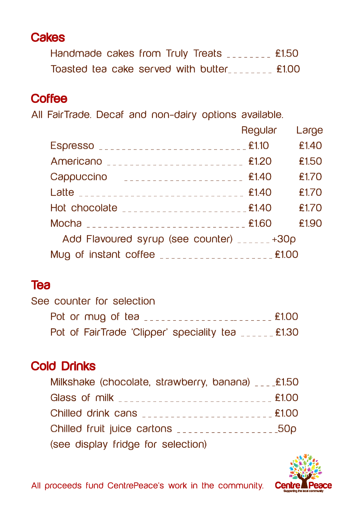## **Cakes**

| Handmade cakes from Truly Treats | £1.50 |
|----------------------------------|-------|
|                                  |       |

## **Coffee**

All FairTrade. Decaf and non-dairy options available.

|                                                                                                                                                                                                                                      | Regular | Large |
|--------------------------------------------------------------------------------------------------------------------------------------------------------------------------------------------------------------------------------------|---------|-------|
|                                                                                                                                                                                                                                      |         | £1.40 |
|                                                                                                                                                                                                                                      |         | £1.50 |
| Cappuccino contra contra contra establecente fi.40                                                                                                                                                                                   |         | £1.70 |
| Latte <b>Election Contract Contract Contract Contract Contract Contract Contract Contract Contract Contract Contract Contract Contract Contract Contract Contract Contract Contract Contract Contract Contract Contract Contract</b> |         | £1.70 |
| Hot chocolate <b>conservations</b> E1.40                                                                                                                                                                                             |         | £1.70 |
| Mocha $\frac{1}{2}$                                                                                                                                                                                                                  |         | £1.90 |
| Add Flavoured syrup (see counter) <b>All Add Flavoured</b> syrup (see counter)                                                                                                                                                       |         |       |
| Mug of instant coffee <b>contained and manufacturers</b> £1.00                                                                                                                                                                       |         |       |

## Tea

| See counter for selection                                                   |       |
|-----------------------------------------------------------------------------|-------|
| Pot or mug of tea <b>continued and the post of the series of the series</b> | £1.00 |
| Pot of FairTrade 'Clipper' speciality tea ______ £1.30                      |       |

## Cold Drinks

| Milkshake (chocolate, strawberry, banana) ____£1.50                                                                    |  |
|------------------------------------------------------------------------------------------------------------------------|--|
| Glass of milk <b>Superintenance and Street and Street and Street and Street and Street and Street and Street and S</b> |  |
| Chilled drink cans                                                                                                     |  |
| Chilled fruit juice cartons <b>Actual Lines and Southern Children</b> 50p                                              |  |
| (see display fridge for selection)                                                                                     |  |



All proceeds fund CentrePeace's work in the community.